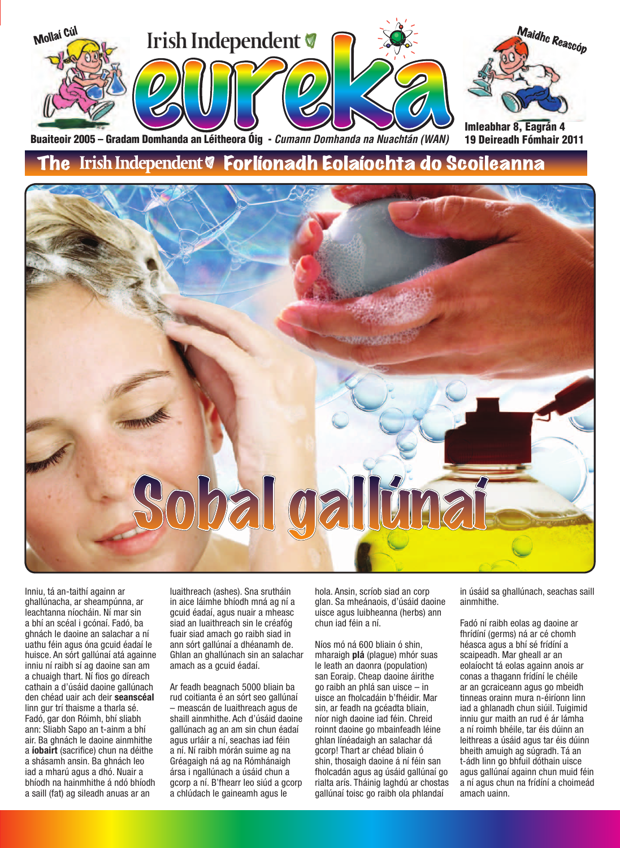

Buaiteoir 2005 – Gradam Domhanda an Léitheora Óig - *Cumann Domhanda na Nuachtán (WAN)* 

### Irish Independent & Forlíonadh Eolaíochta do Scoileanna



Inniu, tá an-taithí againn ar ghallúnacha, ar sheampúnna, ar leachtanna níocháin. Ní mar sin a bhí an scéal i gcónaí. Fadó, ba ghnách le daoine an salachar a ní uathu féin agus óna gcuid éadaí le huisce. An sórt gallúnaí atá againne inniu ní raibh sí ag daoine san am a chuaigh thart. Ní fios go díreach cathain a d'úsáid daoine gallúnach den chéad uair ach deir **seanscéal** linn gur trí thaisme a tharla sé. Fadó, gar don Róimh, bhí sliabh ann: Sliabh Sapo an t-ainm a bhí air. Ba ghnách le daoine ainmhithe a **íobairt** (sacrifice) chun na déithe a shásamh ansin. Ba ghnách leo iad a mharú agus a dhó. Nuair a bhíodh na hainmhithe á ndó bhíodh a saill (fat) ag sileadh anuas ar an

luaithreach (ashes). Sna srutháin in aice láimhe bhíodh mná ag ní a gcuid éadaí, agus nuair a mheasc siad an luaithreach sin le créafóg fuair siad amach go raibh siad in ann sórt gallúnaí a dhéanamh de. Ghlan an ghallúnach sin an salachar amach as a gcuid éadaí.

Ar feadh beagnach 5000 bliain ba rud coitianta é an sórt seo gallúnaí – meascán de luaithreach agus de shaill ainmhithe. Ach d'úsáid daoine gallúnach ag an am sin chun éadaí agus urláir a ní, seachas iad féin a ní. Ní raibh mórán suime ag na Gréagaigh ná ag na Rómhánaigh ársa i ngallúnach a úsáid chun a gcorp a ní. B'fhearr leo siúd a gcorp a chlúdach le gaineamh agus le

hola. Ansin, scríob siad an corp glan. Sa mheánaois, d'úsáid daoine uisce agus luibheanna (herbs) ann chun iad féin a ní.

Níos mó ná 600 bliain ó shin, mharaigh **plá** (plague) mhór suas le leath an daonra (population) san Eoraip. Cheap daoine áirithe go raibh an phlá san uisce – in uisce an fholcadáin b'fhéidir. Mar sin, ar feadh na gcéadta bliain, níor nigh daoine iad féin. Chreid roinnt daoine go mbainfeadh léine ghlan línéadaigh an salachar dá gcorp! Thart ar chéad bliain ó shin, thosaigh daoine á ní féin san fholcadán agus ag úsáid gallúnaí go rialta arís. Tháinig laghdú ar chostas gallúnaí toisc go raibh ola phlandaí

in úsáid sa ghallúnach, seachas saill ainmhithe.

Fadó ní raibh eolas ag daoine ar fhrídíní (germs) ná ar cé chomh héasca agus a bhí sé frídíní a scaipeadh. Mar gheall ar an eolaíocht tá eolas againn anois ar conas a thagann frídíní le chéile ar an gcraiceann agus go mbeidh tinneas orainn mura n-éiríonn linn iad a ghlanadh chun siúil. Tuigimid inniu gur maith an rud é ár lámha a ní roimh bhéile, tar éis dúinn an leithreas a úsáid agus tar éis dúinn bheith amuigh ag súgradh. Tá an t-ádh linn go bhfuil dóthain uisce agus gallúnaí againn chun muid féin a ní agus chun na frídíní a choimeád amach uainn.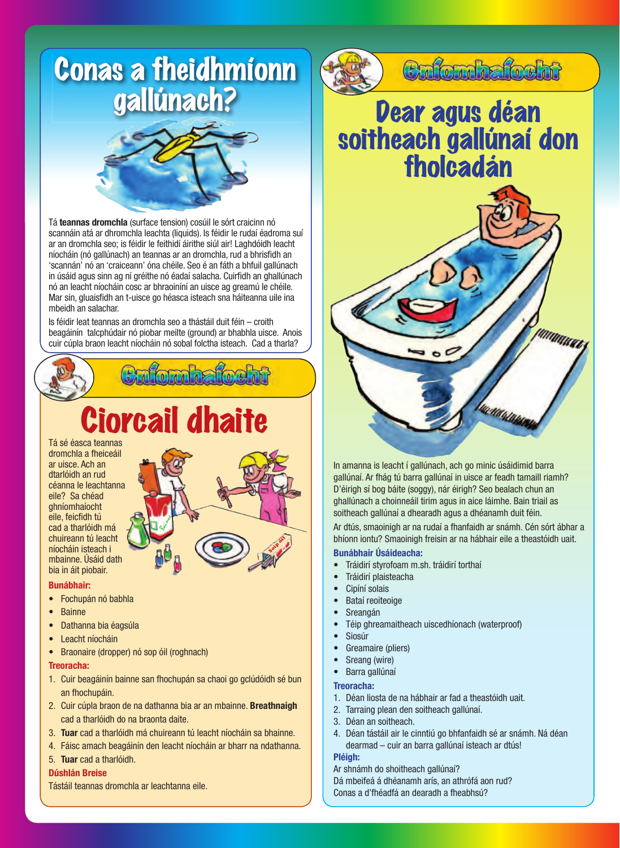

Tá **teannas dromchla** (surface tension) cosúil le sórt craicinn nó scannáin atá ar dhromchla leachta (liquids). Is féidir le rudaí éadroma suí ar an dromchla seo; is féidir le feithidí áirithe siúl air! Laghdóidh leacht níocháin (nó gallúnach) an teannas ar an dromchla, rud a bhrisfidh an 'scannán' nó an 'craiceann' óna chéile. Seo é an fáth a bhfuil gallúnach in úsáid agus sinn ag ní gréithe nó éadaí salacha. Cuirfidh an ghallúnach nó an leacht níocháin cosc ar bhraoiníní an uisce ag greamú le chéile. Mar sin, gluaisfidh an t-uisce go héasca isteach sna háiteanna uile ina mbeidh an salachar.

Is féidir leat teannas an dromchla seo a thástáil duit féin – croith beagáinín talcphúdair nó piobar meilte (ground) ar bhabhla uisce. Anois cuir cúpla braon leacht níocháin nó sobal folctha isteach. Cad a tharla?



# Ciorcail dhaite

Tá sé éasca teannas dromchla a fheiceáil ar uisce. Ach an dtarlóidh an rud céanna le leachtanna eile? Sa chéad ghníomhaíocht eile, feicfidh tú cad a tharlóidh má chuireann tú leacht níocháin isteach i mbainne. Úsáid dath bia in áit piobair.



#### **Bunábhair:**

- Fochupán nó babhla
- Bainne
- Dathanna bia éagsúla
- **Leacht níocháin**
- Braonaire (dropper) nó sop óil (roghnach)

#### **Treoracha:**

- 1. Cuir beagáinín bainne san fhochupán sa chaoi go gclúdóidh sé bun an fhochupáin.
- 2. Cuir cúpla braon de na dathanna bia ar an mbainne. **Breathnaigh** cad a tharlóidh do na braonta daite.
- 3. **Tuar** cad a tharlóidh má chuireann tú leacht níocháin sa bhainne.
- 4. Fáisc amach beagáinín den leacht níocháin ar bharr na ndathanna.

#### 5. **Tuar** cad a tharlóidh.

#### **Dúshlán Breise**

Tástáil teannas dromchla ar leachtanna eile.



### Culombatocht

### Dear agus déan soitheach gallúnaí don fholcadán



In amanna is leacht í gallúnach, ach go minic úsáidimid barra gallúnaí. Ar fhág tú barra gallúnaí in uisce ar feadh tamaill riamh? D'éirigh sí bog báite (soggy), nár éirigh? Seo bealach chun an ghallúnach a choinneáil tirim agus in aice láimhe. Bain triail as soitheach gallúnaí a dhearadh agus a dhéanamh duit féin.

Ar dtús, smaoinigh ar na rudaí a fhanfaidh ar snámh. Cén sórt ábhar a bhíonn iontu? Smaoinigh freisin ar na hábhair eile a theastóidh uait.

#### **Bunábhair Úsáideacha:**

- Tráidirí styrofoam m.sh. tráidirí torthaí
- Tráidirí plaisteacha
- Cipíní solais
- Bataí reoiteoige
- **Sreangán**
- Téip ghreamaitheach uiscedhíonach (waterproof)
- Siosúr
- Greamaire (pliers)
- Sreang (wire)
- Barra gallúnaí

#### **Treoracha:**

- 1. Déan liosta de na hábhair ar fad a theastóidh uait.
- 2. Tarraing plean den soitheach gallúnaí.
- 3. Déan an soitheach.
- 4. Déan tástáil air le cinntiú go bhfanfaidh sé ar snámh. Ná déan dearmad – cuir an barra gallúnaí isteach ar dtús!
- **Pléigh:**

Ar shnámh do shoitheach gallúnaí?

Dá mbeifeá á dhéanamh arís, an athrófá aon rud? Conas a d'fhéadfá an dearadh a fheabhsú?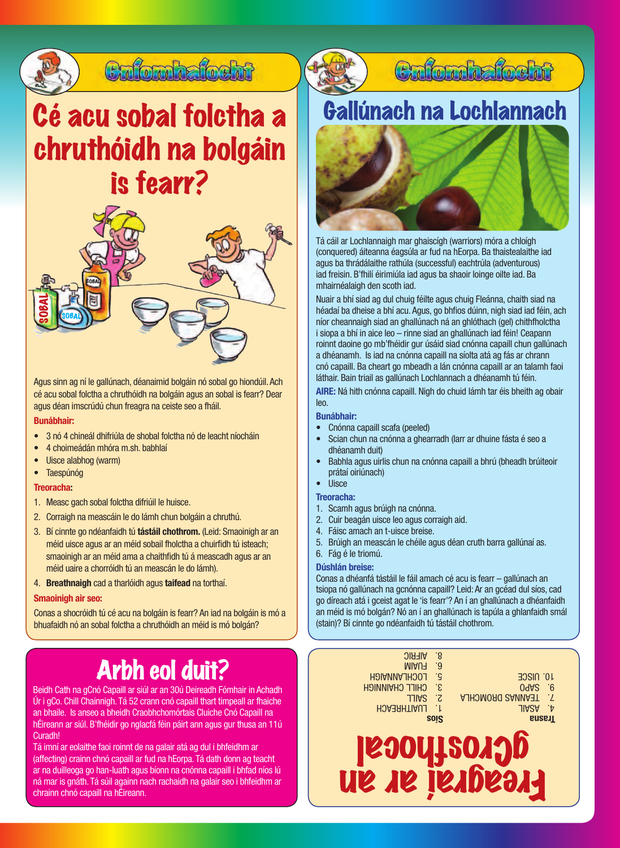

### Cufomhafocht

## Cé acu sobal folctha a chruthóidh na bolgáin is fearr?



Agus sinn ag ní le gallúnach, déanaimid bolgáin nó sobal go hiondúil. Ach cé acu sobal folctha a chruthóidh na bolgáin agus an sobal is fearr? Dear agus déan imscrúdú chun freagra na ceiste seo a fháil.

#### **Bunábhair:**

- 3 nó 4 chineál dhifriúla de shobal folctha nó de leacht níocháin
- 4 choimeádán mhóra m.sh. babhlaí
- Uisce alabhog (warm)
- Taespúnóg

#### **Treoracha:**

- 1. Measc gach sobal folctha difriúil le huisce.
- 2. Corraigh na meascáin le do lámh chun bolgáin a chruthú.
- 3. Bí cinnte go ndéanfaidh tú **tástáil chothrom.** (Leid: Smaoinigh ar an méid uisce agus ar an méid sobail fholctha a chuirfidh tú isteach; smaoinigh ar an méid ama a chaithfidh tú á meascadh agus ar an méid uaire a chorróidh tú an meascán le do lámh).
- 4. **Breathnaigh** cad a tharlóidh agus **taifead** na torthaí.

#### **Smaoinigh air seo:**

Conas a shocróidh tú cé acu na bolgáin is fearr? An iad na bolgáin is mó a

## Arbh eol duit?

Beidh Cath na gCnó Capaill ar siúl ar an 30ú Deireadh Fómhair in Achadh Úr i gCo. Chill Chainnigh. Tá 52 crann cnó capaill thart timpeall ar fhaiche an bhaile. Is anseo a bheidh Craobhchomórtais Cluiche Cnó Capaill na hÉireann ar siúl. B'fhéidir go nglacfá féin páirt ann agus gur thusa an 11ú Curadh!

Tá imní ar eolaithe faoi roinnt de na galair atá ag dul i bhfeidhm ar (affecting) crainn chnó capaill ar fud na hEorpa. Tá dath donn ag teacht ar na duilleoga go han-luath agus bíonn na cnónna capaill i bhfad níos lú ná mar is gnáth. Tá súil againn nach rachaidh na galair seo i bhfeidhm ar chrainn chnó capaill na hÉireann.



Tá cáil ar Lochlannaigh mar ghaiscígh (warriors) móra a chloígh (conquered) áiteanna éagsúla ar fud na hEorpa. Ba thaistealaithe iad agus ba thrádálaithe rathúla (successful) eachtrúla (adventurous) iad freisin. B'fhilí éirimiúla iad agus ba shaoir loinge oilte iad. Ba mhairnéalaigh den scoth iad.

Nuair a bhí siad ag dul chuig féilte agus chuig Fleánna, chaith siad na héadaí ba dheise a bhí acu. Agus, go bhfios dúinn, nigh siad iad féin, ach níor cheannaigh siad an ghallúnach ná an ghlóthach (gel) chithfholctha i siopa a bhí in aice leo – rinne siad an ghallúnach iad féin! Ceapann roinnt daoine go mb'fhéidir gur úsáid siad cnónna capaill chun gallúnach a dhéanamh. Is iad na cnónna capaill na síolta atá ag fás ar chrann cnó capaill. Ba cheart go mbeadh a lán cnónna capaill ar an talamh faoi láthair. Bain triail as gallúnach Lochlannach a dhéanamh tú féin. **AIRE:** Ná hith cnónna capaill. Nigh do chuid lámh tar éis bheith ag obair leo.

#### **Bunábhair:**

- Cnónna capaill scafa (peeled)
- Scian chun na cnónna a ghearradh (Iarr ar dhuine fásta é seo a dhéanamh duit)
- Babhla agus uirlis chun na cnónna capaill a bhrú (bheadh brúiteoir prátaí oiriúnach)
- Uisce

#### **Treoracha:**

- 1. Scamh agus brúigh na cnónna.
- 2. Cuir beagán uisce leo agus corraigh aid.
- 4. Fáisc amach an t-uisce breise.
- 5. Brúigh an meascán le chéile agus déan cruth barra gallúnaí as.
- 6. Fág é le triomú.

#### **Dúshlán breise:**

Conas a dhéanfá tástáil le fáil amach cé acu is fearr – gallúnach an tsiopa nó gallúnach na gcnónna capaill? Leid: Ar an gcéad dul síos, cad go díreach atá i gceist agat le 'is fearr'? An í an ghallúnach a dhéanfaidh an méid is mó bolgán? Nó an í an ghallúnach is tapúla a ghlanfaidh smál (stain)? Bí cinnte go ndéanfaidh tú tástáil chothrom.

| 24 M L                                                                                                                                                                                                                                                          |                            |  |
|-----------------------------------------------------------------------------------------------------------------------------------------------------------------------------------------------------------------------------------------------------------------|----------------------------|--|
| $\cdot$ 9<br><b>MIAU<sub>T</sub></b><br>.c<br><b>10. UISCE</b><br>LOCHLANNAIGH<br>3.<br>09A <sub>2</sub><br><b>CHILL CHAINMIGH</b><br><b>AJHOMORO SANNAST</b><br>-7<br><b>TIIAS</b><br><b>JIAZA</b><br><b>LUAITHREACH</b><br>٠.<br><b>Irasha</b><br><b>SOIS</b> | $\cdot 6$<br>$\cdot$<br>٠þ |  |
| .8<br><b>AIFRIC</b>                                                                                                                                                                                                                                             |                            |  |

Freagraí ar an